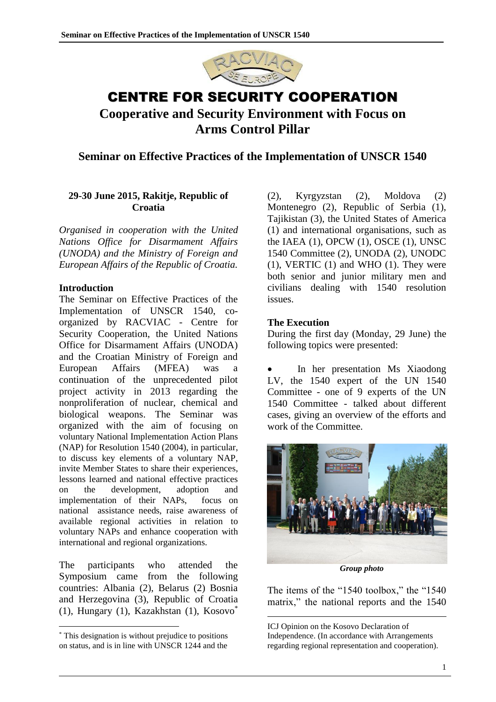

# CENTRE FOR SECURITY COOPERATION **Cooperative and Security Environment with Focus on Arms Control Pillar**

## **Seminar on Effective Practices of the Implementation of UNSCR 1540**

## **29-30 June 2015, Rakitje, Republic of Croatia**

*Organised in cooperation with the United Nations Office for Disarmament Affairs (UNODA) and the Ministry of Foreign and European Affairs of the Republic of Croatia.*

#### **Introduction**

The Seminar on Effective Practices of the Implementation of UNSCR 1540, coorganized by RACVIAC - Centre for Security Cooperation, the United Nations Office for Disarmament Affairs (UNODA) and the Croatian Ministry of Foreign and European Affairs (MFEA) was a continuation of the unprecedented pilot project activity in 2013 regarding the nonproliferation of nuclear, chemical and biological weapons. The Seminar was organized with the aim of focusing on voluntary National Implementation Action Plans (NAP) for Resolution 1540 (2004), in particular, to discuss key elements of a voluntary NAP, invite Member States to share their experiences, lessons learned and national effective practices on the development, adoption and implementation of their NAPs, focus on national assistance needs, raise awareness of available regional activities in relation to voluntary NAPs and enhance cooperation with international and regional organizations.

The participants who attended the Symposium came from the following countries: Albania (2), Belarus (2) Bosnia and Herzegovina (3), Republic of Croatia (1), Hungary (1), Kazakhstan (1), Kosovo\*

 $\overline{a}$ 

(2), Kyrgyzstan (2), Moldova (2) Montenegro (2), Republic of Serbia (1), Tajikistan (3), the United States of America (1) and international organisations, such as the IAEA (1), OPCW (1), OSCE (1), UNSC 1540 Committee (2), UNODA (2), UNODC (1), VERTIC (1) and WHO (1). They were both senior and junior military men and civilians dealing with 1540 resolution issues.

### **The Execution**

1

During the first day (Monday, 29 June) the following topics were presented:

 In her presentation Ms Xiaodong LV, the 1540 expert of the UN 1540 Committee - one of 9 experts of the UN 1540 Committee - talked about different cases, giving an overview of the efforts and work of the Committee.



*Group photo*

The items of the "1540 toolbox," the "1540 matrix," the national reports and the 1540

ICJ Opinion on the Kosovo Declaration of Independence. (In accordance with Arrangements regarding regional representation and cooperation).

<sup>\*</sup> This designation is without prejudice to positions on status, and is in line with UNSCR 1244 and the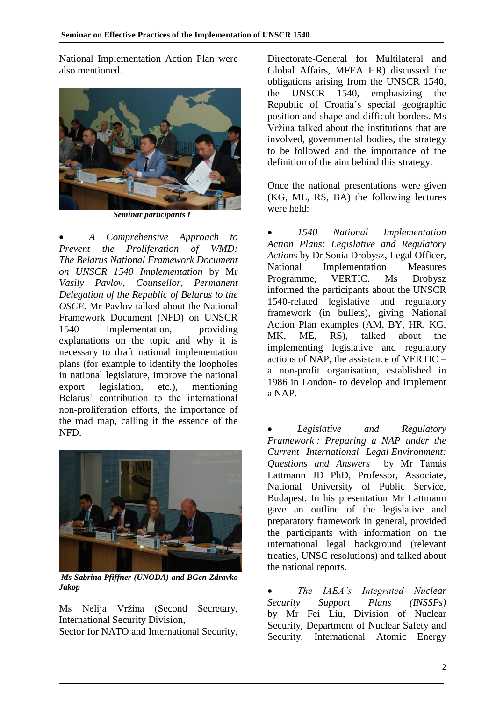National Implementation Action Plan were also mentioned.



 *Seminar participants I*

 *A Comprehensive Approach to Prevent the Proliferation of WMD: The Belarus National Framework Document on UNSCR 1540 Implementation* by Mr *Vasily Pavlov*, *Counsellor*, *Permanent Delegation of the Republic of Belarus to the OSCE.* Mr Pavlov talked about the National Framework Document (NFD) on UNSCR 1540 Implementation, providing explanations on the topic and why it is necessary to draft national implementation plans (for example to identify the loopholes in national legislature, improve the national export legislation, etc.), mentioning Belarus' contribution to the international non-proliferation efforts, the importance of the road map, calling it the essence of the NFD.



*Ms Sabrina Pfiffner (UNODA) and BGen Zdravko Jakop*

Ms Nelija Vržina (Second Secretary, International Security Division,

Sector for NATO and International Security,

Directorate-General for Multilateral and Global Affairs, MFEA HR) discussed the obligations arising from the UNSCR 1540, the UNSCR 1540, emphasizing the Republic of Croatia's special geographic position and shape and difficult borders. Ms Vržina talked about the institutions that are involved, governmental bodies, the strategy to be followed and the importance of the definition of the aim behind this strategy.

Once the national presentations were given (KG, ME, RS, BA) the following lectures were held:

 *1540 National Implementation Action Plans: Legislative and Regulatory Actions* by Dr Sonia Drobysz, Legal Officer, National Implementation Measures Programme, VERTIC. Ms Drobysz informed the participants about the UNSCR 1540-related legislative and regulatory framework (in bullets), giving National Action Plan examples (AM, BY, HR, KG, MK, ME, RS), talked about the implementing legislative and regulatory actions of NAP, the assistance of VERTIC – a non-profit organisation, established in 1986 in London- to develop and implement a NAP.

 *Legislative and Regulatory Framework : Preparing a NAP under the Current International Legal Environment: Questions and Answers* by Mr Tamás Lattmann JD PhD, Professor, Associate, National University of Public Service, Budapest. In his presentation Mr Lattmann gave an outline of the legislative and preparatory framework in general, provided the participants with information on the international legal background (relevant treaties, UNSC resolutions) and talked about the national reports.

 *The IAEA's Integrated Nuclear Security Support Plans (INSSPs)* by Mr Fei Liu, Division of Nuclear Security, Department of Nuclear Safety and Security, International Atomic Energy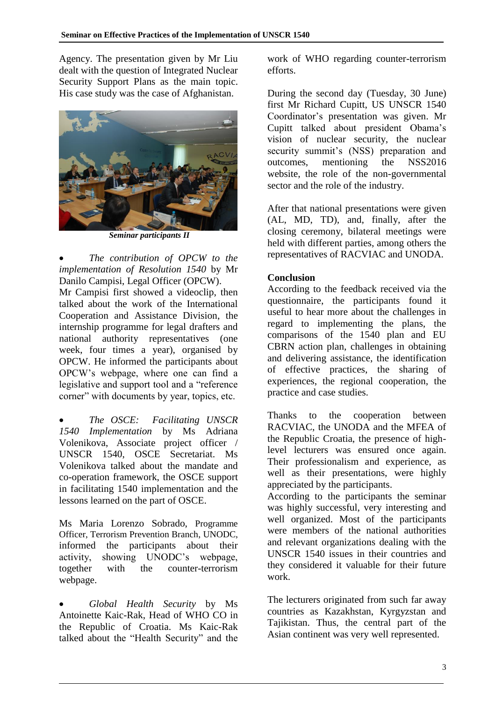Agency. The presentation given by Mr Liu dealt with the question of Integrated Nuclear Security Support Plans as the main topic. His case study was the case of Afghanistan.



*Seminar participants II*

 *The contribution of OPCW to the implementation of Resolution 1540* by Mr Danilo Campisi, Legal Officer (OPCW).

Mr Campisi first showed a videoclip, then talked about the work of the International Cooperation and Assistance Division, the internship programme for legal drafters and national authority representatives (one week, four times a year), organised by OPCW. He informed the participants about OPCW's webpage, where one can find a legislative and support tool and a "reference corner" with documents by year, topics, etc.

 *The OSCE: Facilitating UNSCR 1540 Implementation* by Ms Adriana Volenikova, Associate project officer / UNSCR 1540, OSCE Secretariat. Ms Volenikova talked about the mandate and co-operation framework, the OSCE support in facilitating 1540 implementation and the lessons learned on the part of OSCE.

Ms Maria Lorenzo Sobrado, Programme Officer, Terrorism Prevention Branch, UNODC, informed the participants about their activity, showing UNODC's webpage, together with the counter-terrorism webpage.

 *Global Health Security* by Ms Antoinette Kaic-Rak, Head of WHO CO in the Republic of Croatia. Ms Kaic-Rak talked about the "Health Security" and the

work of WHO regarding counter-terrorism efforts.

During the second day (Tuesday, 30 June) first Mr Richard Cupitt, US UNSCR 1540 Coordinator's presentation was given. Mr Cupitt talked about president Obama's vision of nuclear security, the nuclear security summit's (NSS) preparation and outcomes, mentioning the NSS2016 website, the role of the non-governmental sector and the role of the industry.

After that national presentations were given (AL, MD, TD), and, finally, after the closing ceremony, bilateral meetings were held with different parties, among others the representatives of RACVIAC and UNODA.

# **Conclusion**

According to the feedback received via the questionnaire, the participants found it useful to hear more about the challenges in regard to implementing the plans, the comparisons of the 1540 plan and EU CBRN action plan, challenges in obtaining and delivering assistance, the identification of effective practices, the sharing of experiences, the regional cooperation, the practice and case studies.

Thanks to the cooperation between RACVIAC, the UNODA and the MFEA of the Republic Croatia, the presence of highlevel lecturers was ensured once again. Their professionalism and experience, as well as their presentations, were highly appreciated by the participants.

According to the participants the seminar was highly successful, very interesting and well organized. Most of the participants were members of the national authorities and relevant organizations dealing with the UNSCR 1540 issues in their countries and they considered it valuable for their future work.

The lecturers originated from such far away countries as Kazakhstan, Kyrgyzstan and Tajikistan. Thus, the central part of the Asian continent was very well represented.